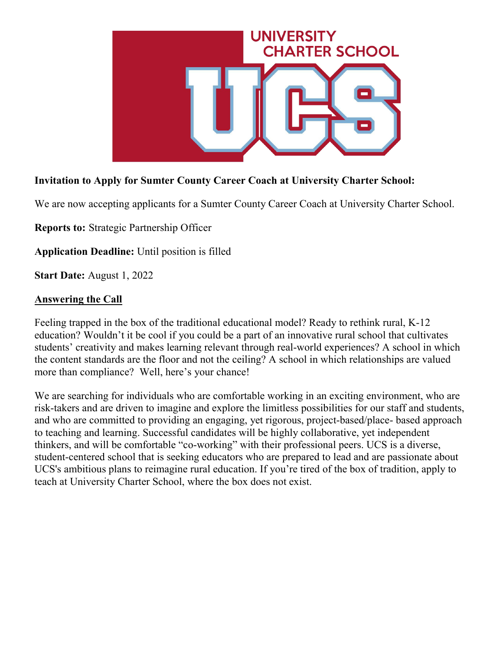

# **Invitation to Apply for Sumter County Career Coach at University Charter School:**

We are now accepting applicants for a Sumter County Career Coach at University Charter School.

**Reports to:** Strategic Partnership Officer

**Application Deadline:** Until position is filled

**Start Date:** August 1, 2022

#### **Answering the Call**

Feeling trapped in the box of the traditional educational model? Ready to rethink rural, K-12 education? Wouldn't it be cool if you could be a part of an innovative rural school that cultivates students' creativity and makes learning relevant through real-world experiences? A school in which the content standards are the floor and not the ceiling? A school in which relationships are valued more than compliance? Well, here's your chance!

We are searching for individuals who are comfortable working in an exciting environment, who are risk-takers and are driven to imagine and explore the limitless possibilities for our staff and students, and who are committed to providing an engaging, yet rigorous, project-based/place- based approach to teaching and learning. Successful candidates will be highly collaborative, yet independent thinkers, and will be comfortable "co-working" with their professional peers. UCS is a diverse, student-centered school that is seeking educators who are prepared to lead and are passionate about UCS's ambitious plans to reimagine rural education. If you're tired of the box of tradition, apply to teach at University Charter School, where the box does not exist.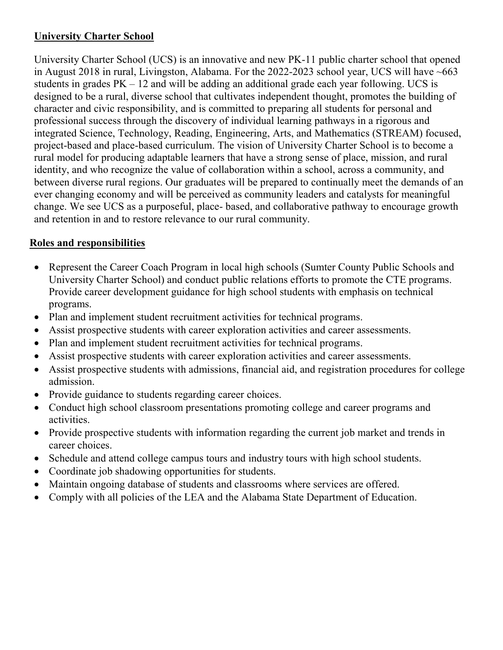## **University Charter School**

University Charter School (UCS) is an innovative and new PK-11 public charter school that opened in August 2018 in rural, Livingston, Alabama. For the 2022-2023 school year, UCS will have ~663 students in grades  $PK - 12$  and will be adding an additional grade each year following. UCS is designed to be a rural, diverse school that cultivates independent thought, promotes the building of character and civic responsibility, and is committed to preparing all students for personal and professional success through the discovery of individual learning pathways in a rigorous and integrated Science, Technology, Reading, Engineering, Arts, and Mathematics (STREAM) focused, project-based and place-based curriculum. The vision of University Charter School is to become a rural model for producing adaptable learners that have a strong sense of place, mission, and rural identity, and who recognize the value of collaboration within a school, across a community, and between diverse rural regions. Our graduates will be prepared to continually meet the demands of an ever changing economy and will be perceived as community leaders and catalysts for meaningful change. We see UCS as a purposeful, place- based, and collaborative pathway to encourage growth and retention in and to restore relevance to our rural community.

# **Roles and responsibilities**

- Represent the Career Coach Program in local high schools (Sumter County Public Schools and University Charter School) and conduct public relations efforts to promote the CTE programs. Provide career development guidance for high school students with emphasis on technical programs.
- Plan and implement student recruitment activities for technical programs.
- Assist prospective students with career exploration activities and career assessments.
- Plan and implement student recruitment activities for technical programs.
- Assist prospective students with career exploration activities and career assessments.
- Assist prospective students with admissions, financial aid, and registration procedures for college admission.
- Provide guidance to students regarding career choices.
- Conduct high school classroom presentations promoting college and career programs and activities.
- Provide prospective students with information regarding the current job market and trends in career choices.
- Schedule and attend college campus tours and industry tours with high school students.
- Coordinate job shadowing opportunities for students.
- Maintain ongoing database of students and classrooms where services are offered.
- Comply with all policies of the LEA and the Alabama State Department of Education.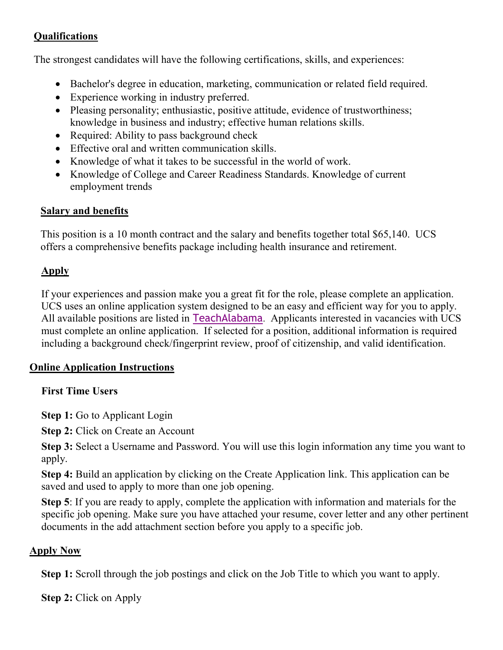# **Qualifications**

The strongest candidates will have the following certifications, skills, and experiences:

- Bachelor's degree in education, marketing, communication or related field required.
- Experience working in industry preferred.
- Pleasing personality; enthusiastic, positive attitude, evidence of trustworthiness; knowledge in business and industry; effective human relations skills.
- Required: Ability to pass background check
- Effective oral and written communication skills.
- Knowledge of what it takes to be successful in the world of work.
- Knowledge of College and Career Readiness Standards. Knowledge of current employment trends

## **Salary and benefits**

This position is a 10 month contract and the salary and benefits together total \$65,140. UCS offers a comprehensive benefits package including health insurance and retirement.

# **Apply**

If your experiences and passion make you a great fit for the role, please complete an application. UCS uses an online application system designed to be an easy and efficient way for you to apply. All available positions are listed in [TeachAlabama](https://ats1.atenterprise.powerschool.com/ats/app_login?COMPANY_ID=00008500). Applicants interested in vacancies with UCS must complete an online application. If selected for a position, additional information is required including a background check/fingerprint review, proof of citizenship, and valid identification.

# **Online Application Instructions**

## **First Time Users**

**Step 1:** Go to Applicant Login

**Step 2: Click on Create an Account** 

**Step 3:** Select a Username and Password. You will use this login information any time you want to apply.

**Step 4:** Build an application by clicking on the Create Application link. This application can be saved and used to apply to more than one job opening.

**Step 5**: If you are ready to apply, complete the application with information and materials for the specific job opening. Make sure you have attached your resume, cover letter and any other pertinent documents in the add attachment section before you apply to a specific job.

## **Apply Now**

**Step 1:** Scroll through the job postings and click on the Job Title to which you want to apply.

**Step 2:** Click on Apply